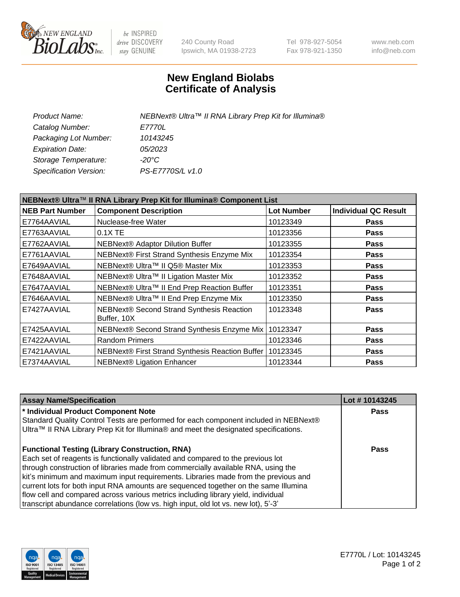

be INSPIRED drive DISCOVERY stay GENUINE

240 County Road Ipswich, MA 01938-2723 Tel 978-927-5054 Fax 978-921-1350 www.neb.com info@neb.com

## **New England Biolabs Certificate of Analysis**

| Product Name:           | NEBNext® Ultra™ II RNA Library Prep Kit for Illumina® |
|-------------------------|-------------------------------------------------------|
| Catalog Number:         | <i>E7770L</i>                                         |
| Packaging Lot Number:   | 10143245                                              |
| <b>Expiration Date:</b> | 05/2023                                               |
| Storage Temperature:    | -20°C                                                 |
| Specification Version:  | PS-E7770S/L v1.0                                      |
|                         |                                                       |

| NEBNext® Ultra™ II RNA Library Prep Kit for Illumina® Component List |                                                          |                   |                             |  |
|----------------------------------------------------------------------|----------------------------------------------------------|-------------------|-----------------------------|--|
| <b>NEB Part Number</b>                                               | <b>Component Description</b>                             | <b>Lot Number</b> | <b>Individual QC Result</b> |  |
| E7764AAVIAL                                                          | Nuclease-free Water                                      | 10123349          | <b>Pass</b>                 |  |
| E7763AAVIAL                                                          | 0.1X TE                                                  | 10123356          | <b>Pass</b>                 |  |
| E7762AAVIAL                                                          | NEBNext® Adaptor Dilution Buffer                         | 10123355          | <b>Pass</b>                 |  |
| E7761AAVIAL                                                          | NEBNext® First Strand Synthesis Enzyme Mix               | 10123354          | <b>Pass</b>                 |  |
| E7649AAVIAL                                                          | NEBNext® Ultra™ II Q5® Master Mix                        | 10123353          | <b>Pass</b>                 |  |
| E7648AAVIAL                                                          | NEBNext® Ultra™ II Ligation Master Mix                   | 10123352          | <b>Pass</b>                 |  |
| E7647AAVIAL                                                          | NEBNext® Ultra™ II End Prep Reaction Buffer              | 10123351          | <b>Pass</b>                 |  |
| E7646AAVIAL                                                          | NEBNext® Ultra™ II End Prep Enzyme Mix                   | 10123350          | <b>Pass</b>                 |  |
| E7427AAVIAL                                                          | NEBNext® Second Strand Synthesis Reaction<br>Buffer, 10X | 10123348          | <b>Pass</b>                 |  |
| E7425AAVIAL                                                          | NEBNext® Second Strand Synthesis Enzyme Mix              | 10123347          | <b>Pass</b>                 |  |
| E7422AAVIAL                                                          | <b>Random Primers</b>                                    | 10123346          | <b>Pass</b>                 |  |
| E7421AAVIAL                                                          | NEBNext® First Strand Synthesis Reaction Buffer          | 10123345          | <b>Pass</b>                 |  |
| E7374AAVIAL                                                          | <b>NEBNext® Ligation Enhancer</b>                        | 10123344          | <b>Pass</b>                 |  |

| <b>Assay Name/Specification</b>                                                      | Lot #10143245 |
|--------------------------------------------------------------------------------------|---------------|
| * Individual Product Component Note                                                  | <b>Pass</b>   |
| Standard Quality Control Tests are performed for each component included in NEBNext® |               |
| Ultra™ II RNA Library Prep Kit for Illumina® and meet the designated specifications. |               |
| <b>Functional Testing (Library Construction, RNA)</b>                                | Pass          |
| Each set of reagents is functionally validated and compared to the previous lot      |               |
| through construction of libraries made from commercially available RNA, using the    |               |
| kit's minimum and maximum input requirements. Libraries made from the previous and   |               |
| current lots for both input RNA amounts are sequenced together on the same Illumina  |               |
| flow cell and compared across various metrics including library yield, individual    |               |
| transcript abundance correlations (low vs. high input, old lot vs. new lot), 5'-3'   |               |